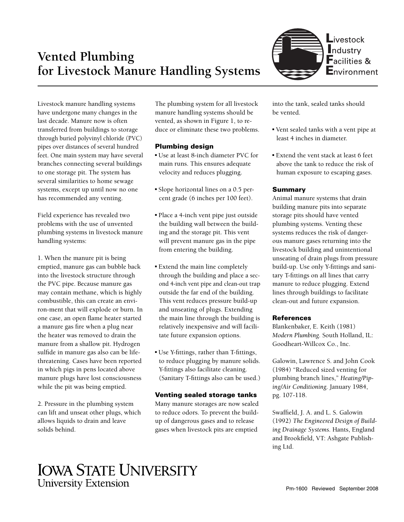# **Vented Plumbing for Livestock Manure Handling Systems**



Livestock manure handling systems have undergone many changes in the last decade. Manure now is often transferred from buildings to storage through buried polyvinyl chloride (PVC) pipes over distances of several hundred feet. One main system may have several branches connecting several buildings to one storage pit. The system has several similarities to home sewage systems, except up until now no one has recommended any venting.

Field experience has revealed two problems with the use of unvented plumbing systems in livestock manure handling systems:

1. When the manure pit is being emptied, manure gas can bubble back into the livestock structure through the PVC pipe. Because manure gas may contain methane, which is highly combustible, this can create an environ-ment that will explode or burn. In one case, an open flame heater started a manure gas fire when a plug near the heater was removed to drain the manure from a shallow pit. Hydrogen sulfide in manure gas also can be lifethreatening. Cases have been reported in which pigs in pens located above manure plugs have lost consciousness while the pit was being emptied.

2. Pressure in the plumbing system can lift and unseat other plugs, which allows liquids to drain and leave solids behind.

The plumbing system for all livestock manure handling systems should be vented, as shown in Figure 1, to reduce or eliminate these two problems.

## **Plumbing design**

- Use at least 8-inch diameter PVC for main runs. This ensures adequate velocity and reduces plugging.
- Slope horizontal lines on a 0.5 percent grade (6 inches per 100 feet).
- Place a 4-inch vent pipe just outside the building wall between the building and the storage pit. This vent will prevent manure gas in the pipe from entering the building.
- **Extend the main line completely** through the building and place a second 4-inch vent pipe and clean-out trap outside the far end of the building. This vent reduces pressure build-up and unseating of plugs. Extending the main line through the building is relatively inexpensive and will facilitate future expansion options.
- Use Y-fittings, rather than T-fittings, to reduce plugging by manure solids. Y-fittings also facilitate cleaning. (Sanitary T-fittings also can be used.)

## **Venting sealed storage tanks**

Many manure storages are now sealed to reduce odors. To prevent the buildup of dangerous gases and to release gases when livestock pits are emptied

into the tank, sealed tanks should be vented.

- Vent sealed tanks with a vent pipe at least 4 inches in diameter.
- Extend the vent stack at least 6 feet above the tank to reduce the risk of human exposure to escaping gases.

## **Summary**

Animal manure systems that drain building manure pits into separate storage pits should have vented plumbing systems. Venting these systems reduces the risk of dangerous manure gases returning into the livestock building and unintentional unseating of drain plugs from pressure build-up. Use only Y-fittings and sanitary T-fittings on all lines that carry manure to reduce plugging. Extend lines through buildings to facilitate clean-out and future expansion.

## **References**

Blankenbaker, E. Keith (1981) *Modern Plumbing.* South Holland, IL: Goodheart-Willcox Co., Inc.

Galowin, Lawrence S. and John Cook (1984) "Reduced sized venting for plumbing branch lines," *Heating/Piping/Air Conditioning.* January 1984, pg. 107-118.

Swaffield, J. A. and L. S. Galowin (1992) *The Engineered Design of Building Drainage Systems.* Hants, England and Brookfield, VT: Ashgate Publishing Ltd.

# **IOWA STATE UNIVERSITY University Extension**